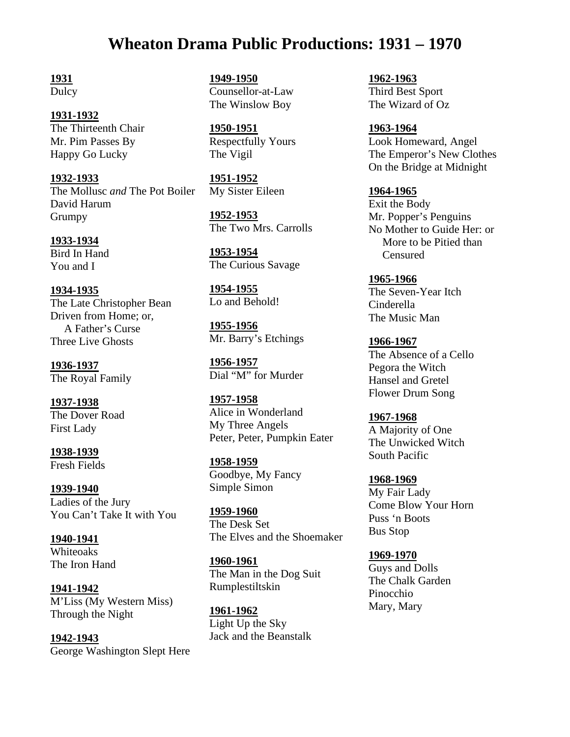# **Wheaton Drama Public Productions: 1931 – 1970**

**1931** 

Dulcy

**1931-1932**  The Thirteenth Chair Mr. Pim Passes By Happy Go Lucky

**1932-1933**  The Mollusc *and* The Pot Boiler David Harum Grumpy

**1933-1934**  Bird In Hand You and I

**1934-1935**  The Late Christopher Bean Driven from Home; or, A Father's Curse Three Live Ghosts

**1936-1937**  The Royal Family

**1937-1938**  The Dover Road First Lady

**1938-1939**  Fresh Fields

**1939-1940**  Ladies of the Jury You Can't Take It with You

**1940-1941**  Whiteoaks The Iron Hand

**1941-1942**  M'Liss (My Western Miss) Through the Night

**1942-1943**  George Washington Slept Here

**1949-1950**  Counsellor-at-Law The Winslow Boy

**1950-1951**  Respectfully Yours The Vigil

**1951-1952**  My Sister Eileen

**1952-1953**  The Two Mrs. Carrolls

**1953-1954**  The Curious Savage

**1954-1955** Lo and Behold!

**1955-1956** Mr. Barry's Etchings

**1956-1957**  Dial "M" for Murder

**1957-1958**  Alice in Wonderland My Three Angels Peter, Peter, Pumpkin Eater

**1958-1959**  Goodbye, My Fancy Simple Simon

**1959-1960**  The Desk Set The Elves and the Shoemaker

**1960-1961**  The Man in the Dog Suit Rumplestiltskin

**1961-1962**  Light Up the Sky Jack and the Beanstalk **1962-1963**  Third Best Sport The Wizard of Oz

**1963-1964**  Look Homeward, Angel The Emperor's New Clothes On the Bridge at Midnight

**1964-1965**  Exit the Body Mr. Popper's Penguins No Mother to Guide Her: or More to be Pitied than Censured

**1965-1966**  The Seven-Year Itch Cinderella The Music Man

**1966-1967**  The Absence of a Cello Pegora the Witch Hansel and Gretel Flower Drum Song

**1967-1968**  A Majority of One The Unwicked Witch South Pacific

**1968-1969** My Fair Lady Come Blow Your Horn Puss 'n Boots Bus Stop

**1969-1970** Guys and Dolls The Chalk Garden Pinocchio Mary, Mary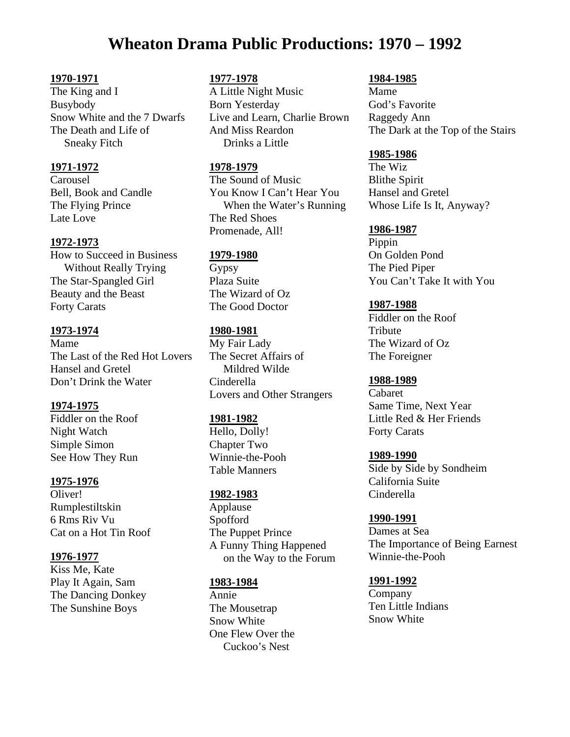# **Wheaton Drama Public Productions: 1970 – 1992**

## **1970-1971**

The King and I Busybody Snow White and the 7 Dwarfs The Death and Life of Sneaky Fitch

## **1971-1972**

Carousel Bell, Book and Candle The Flying Prince Late Love

## **1972-1973**

How to Succeed in Business Without Really Trying The Star-Spangled Girl Beauty and the Beast Forty Carats

## **1973-1974**

Mame The Last of the Red Hot Lovers Hansel and Gretel Don't Drink the Water

# **1974-1975**

Fiddler on the Roof Night Watch Simple Simon See How They Run

# **1975-1976**

Oliver! Rumplestiltskin 6 Rms Riv Vu Cat on a Hot Tin Roof

# **1976-1977**

Kiss Me, Kate Play It Again, Sam The Dancing Donkey The Sunshine Boys

## **1977-1978**

A Little Night Music Born Yesterday Live and Learn, Charlie Brown And Miss Reardon Drinks a Little

#### **1978-1979**

The Sound of Music You Know I Can't Hear You When the Water's Running The Red Shoes Promenade, All!

#### **1979-1980**

Gypsy Plaza Suite The Wizard of Oz The Good Doctor

#### **1980-1981**

My Fair Lady The Secret Affairs of Mildred Wilde Cinderella Lovers and Other Strangers

#### **1981-1982**

Hello, Dolly! Chapter Two Winnie-the-Pooh Table Manners

#### **1982-1983**

Applause Spofford The Puppet Prince A Funny Thing Happened on the Way to the Forum

#### **1983-1984**

Annie The Mousetrap Snow White One Flew Over the Cuckoo's Nest

#### **1984-1985**

Mame God's Favorite Raggedy Ann The Dark at the Top of the Stairs

## **1985-1986**

The Wiz Blithe Spirit Hansel and Gretel Whose Life Is It, Anyway?

#### **1986-1987**

Pippin On Golden Pond The Pied Piper You Can't Take It with You

#### **1987-1988**

Fiddler on the Roof **Tribute** The Wizard of Oz The Foreigner

#### **1988-1989**

Cabaret Same Time, Next Year Little Red & Her Friends Forty Carats

#### **1989-1990**

Side by Side by Sondheim California Suite Cinderella

#### **1990-1991**

Dames at Sea The Importance of Being Earnest Winnie-the-Pooh

#### **1991-1992**

Company Ten Little Indians Snow White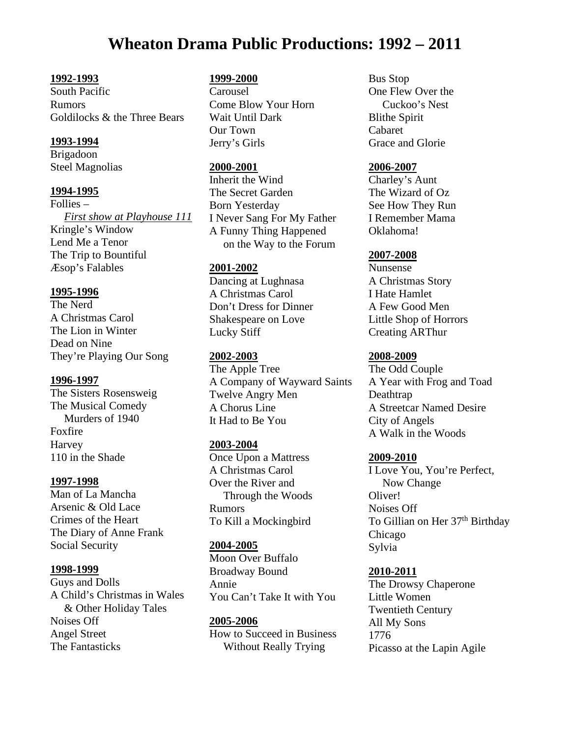# **Wheaton Drama Public Productions: 1992 – 2011**

## **1992-1993**

South Pacific Rumors Goldilocks & the Three Bears

# **1993-1994**

Brigadoon Steel Magnolias

#### **1994-1995**

Follies –  *First show at Playhouse 111* Kringle's Window Lend Me a Tenor The Trip to Bountiful Æsop's Falables

#### **1995-1996**

The Nerd A Christmas Carol The Lion in Winter Dead on Nine They're Playing Our Song

#### **1996-1997**

The Sisters Rosensweig The Musical Comedy Murders of 1940 Foxfire Harvey 110 in the Shade

#### **1997-1998**

Man of La Mancha Arsenic & Old Lace Crimes of the Heart The Diary of Anne Frank Social Security

#### **1998-1999**

Guys and Dolls A Child's Christmas in Wales & Other Holiday Tales Noises Off Angel Street The Fantasticks

#### **1999-2000**

Carousel Come Blow Your Horn Wait Until Dark Our Town Jerry's Girls

#### **2000-2001**

Inherit the Wind The Secret Garden Born Yesterday I Never Sang For My Father A Funny Thing Happened on the Way to the Forum

## **2001-2002**

Dancing at Lughnasa A Christmas Carol Don't Dress for Dinner Shakespeare on Love Lucky Stiff

#### **2002-2003**

The Apple Tree A Company of Wayward Saints Twelve Angry Men A Chorus Line It Had to Be You

#### **2003-2004**

Once Upon a Mattress A Christmas Carol Over the River and Through the Woods Rumors To Kill a Mockingbird

# **2004-2005**

Moon Over Buffalo Broadway Bound Annie You Can't Take It with You

# **2005-2006**  How to Succeed in Business Without Really Trying

Bus Stop One Flew Over the Cuckoo's Nest Blithe Spirit Cabaret Grace and Glorie

#### **2006-2007**

Charley's Aunt The Wizard of Oz See How They Run I Remember Mama Oklahoma!

#### **2007-2008**

Nunsense A Christmas Story I Hate Hamlet A Few Good Men Little Shop of Horrors Creating ARThur

#### **2008-2009**

The Odd Couple A Year with Frog and Toad Deathtrap A Streetcar Named Desire City of Angels A Walk in the Woods

#### **2009-2010**

I Love You, You're Perfect, Now Change Oliver! Noises Off To Gillian on Her 37<sup>th</sup> Birthday Chicago Sylvia

#### **2010-2011**

The Drowsy Chaperone Little Women Twentieth Century All My Sons 1776 Picasso at the Lapin Agile